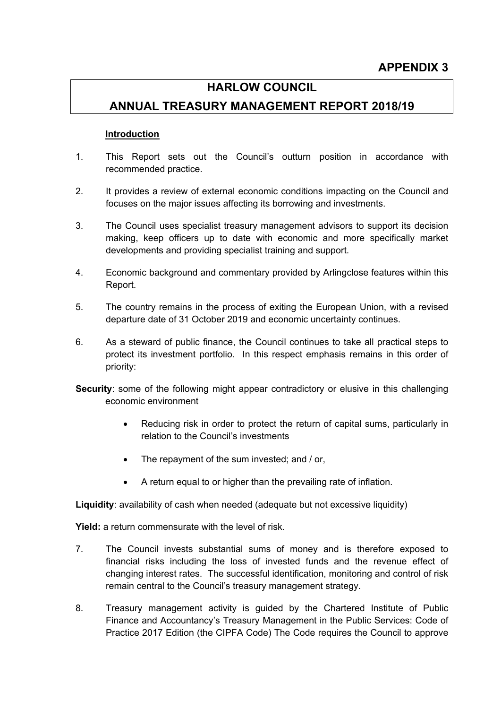# **HARLOW COUNCIL**

# **ANNUAL TREASURY MANAGEMENT REPORT 2018/19**

#### **Introduction**

- 1. This Report sets out the Council's outturn position in accordance with recommended practice.
- 2. It provides a review of external economic conditions impacting on the Council and focuses on the major issues affecting its borrowing and investments.
- 3. The Council uses specialist treasury management advisors to support its decision making, keep officers up to date with economic and more specifically market developments and providing specialist training and support.
- 4. Economic background and commentary provided by Arlingclose features within this Report.
- 5. The country remains in the process of exiting the European Union, with a revised departure date of 31 October 2019 and economic uncertainty continues.
- 6. As a steward of public finance, the Council continues to take all practical steps to protect its investment portfolio. In this respect emphasis remains in this order of priority:
- **Security:** some of the following might appear contradictory or elusive in this challenging economic environment
	- Reducing risk in order to protect the return of capital sums, particularly in relation to the Council's investments
	- The repayment of the sum invested: and / or,
	- A return equal to or higher than the prevailing rate of inflation.

**Liquidity**: availability of cash when needed (adequate but not excessive liquidity)

**Yield:** a return commensurate with the level of risk.

- 7. The Council invests substantial sums of money and is therefore exposed to financial risks including the loss of invested funds and the revenue effect of changing interest rates. The successful identification, monitoring and control of risk remain central to the Council's treasury management strategy.
- 8. Treasury management activity is guided by the Chartered Institute of Public Finance and Accountancy's Treasury Management in the Public Services: Code of Practice 2017 Edition (the CIPFA Code) The Code requires the Council to approve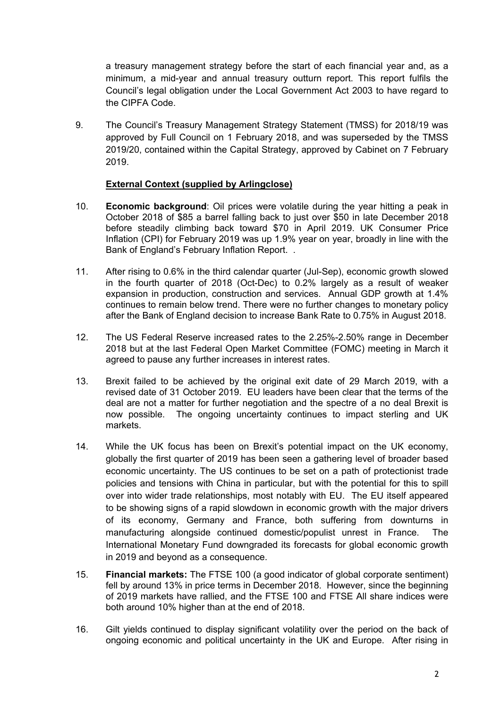a treasury management strategy before the start of each financial year and, as a minimum, a mid-year and annual treasury outturn report. This report fulfils the Council's legal obligation under the Local Government Act 2003 to have regard to the CIPFA Code.

9. The Council's Treasury Management Strategy Statement (TMSS) for 2018/19 was approved by Full Council on 1 February 2018, and was superseded by the TMSS 2019/20, contained within the Capital Strategy, approved by Cabinet on 7 February 2019.

#### **External Context (supplied by Arlingclose)**

- 10. **Economic background**: Oil prices were volatile during the year hitting a peak in October 2018 of \$85 a barrel falling back to just over \$50 in late December 2018 before steadily climbing back toward \$70 in April 2019. UK Consumer Price Inflation (CPI) for February 2019 was up 1.9% year on year, broadly in line with the Bank of England's February Inflation Report. .
- 11. After rising to 0.6% in the third calendar quarter (Jul-Sep), economic growth slowed in the fourth quarter of 2018 (Oct-Dec) to 0.2% largely as a result of weaker expansion in production, construction and services. Annual GDP growth at 1.4% continues to remain below trend. There were no further changes to monetary policy after the Bank of England decision to increase Bank Rate to 0.75% in August 2018.
- 12. The US Federal Reserve increased rates to the 2.25%-2.50% range in December 2018 but at the last Federal Open Market Committee (FOMC) meeting in March it agreed to pause any further increases in interest rates.
- 13. Brexit failed to be achieved by the original exit date of 29 March 2019, with a revised date of 31 October 2019. EU leaders have been clear that the terms of the deal are not a matter for further negotiation and the spectre of a no deal Brexit is now possible. The ongoing uncertainty continues to impact sterling and UK markets.
- 14. While the UK focus has been on Brexit's potential impact on the UK economy, globally the first quarter of 2019 has been seen a gathering level of broader based economic uncertainty. The US continues to be set on a path of protectionist trade policies and tensions with China in particular, but with the potential for this to spill over into wider trade relationships, most notably with EU. The EU itself appeared to be showing signs of a rapid slowdown in economic growth with the major drivers of its economy, Germany and France, both suffering from downturns in manufacturing alongside continued domestic/populist unrest in France. The International Monetary Fund downgraded its forecasts for global economic growth in 2019 and beyond as a consequence.
- 15. **Financial markets:** The FTSE 100 (a good indicator of global corporate sentiment) fell by around 13% in price terms in December 2018. However, since the beginning of 2019 markets have rallied, and the FTSE 100 and FTSE All share indices were both around 10% higher than at the end of 2018.
- 16. Gilt yields continued to display significant volatility over the period on the back of ongoing economic and political uncertainty in the UK and Europe. After rising in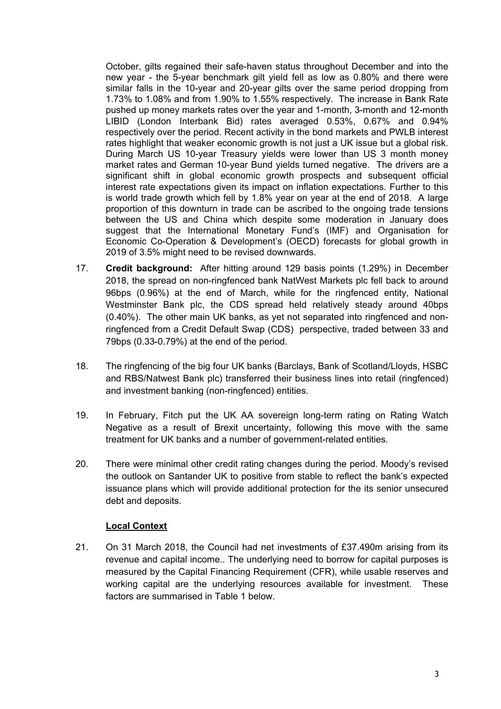October, gilts regained their safe-haven status throughout December and into the new year - the 5-year benchmark gilt yield fell as low as 0.80% and there were similar falls in the 10-year and 20-year gilts over the same period dropping from 1.73% to 1.08% and from 1.90% to 1.55% respectively. The increase in Bank Rate pushed up money markets rates over the year and 1-month, 3-month and 12-month LIBID (London Interbank Bid) rates averaged 0.53%, 0.67% and 0.94% respectively over the period. Recent activity in the bond markets and PWLB interest rates highlight that weaker economic growth is not just a UK issue but a global risk. During March US 10-year Treasury yields were lower than US 3 month money market rates and German 10-year Bund yields turned negative. The drivers are a significant shift in global economic growth prospects and subsequent official interest rate expectations given its impact on inflation expectations. Further to this is world trade growth which fell by 1.8% year on year at the end of 2018. A large proportion of this downturn in trade can be ascribed to the ongoing trade tensions between the US and China which despite some moderation in January does suggest that the International Monetary Fund's (IMF) and Organisation for Economic Co-Operation & Development's (OECD) forecasts for global growth in 2019 of 3.5% might need to be revised downwards.

- 17. **Credit background:** After hitting around 129 basis points (1.29%) in December 2018, the spread on non-ringfenced bank NatWest Markets plc fell back to around 96bps (0.96%) at the end of March, while for the ringfenced entity, National Westminster Bank plc, the CDS spread held relatively steady around 40bps (0.40%). The other main UK banks, as yet not separated into ringfenced and nonringfenced from a Credit Default Swap (CDS) perspective, traded between 33 and 79bps (0.33-0.79%) at the end of the period.
- 18. The ringfencing of the big four UK banks (Barclays, Bank of Scotland/Lloyds, HSBC and RBS/Natwest Bank plc) transferred their business lines into retail (ringfenced) and investment banking (non-ringfenced) entities.
- 19. In February, Fitch put the UK AA sovereign long-term rating on Rating Watch Negative as a result of Brexit uncertainty, following this move with the same treatment for UK banks and a number of government-related entities.
- 20. There were minimal other credit rating changes during the period. Moody's revised the outlook on Santander UK to positive from stable to reflect the bank's expected issuance plans which will provide additional protection for the its senior unsecured debt and deposits.

## **Local Context**

21. On 31 March 2018, the Council had net investments of £37.490m arising from its revenue and capital income.. The underlying need to borrow for capital purposes is measured by the Capital Financing Requirement (CFR), while usable reserves and working capital are the underlying resources available for investment. These factors are summarised in Table 1 below.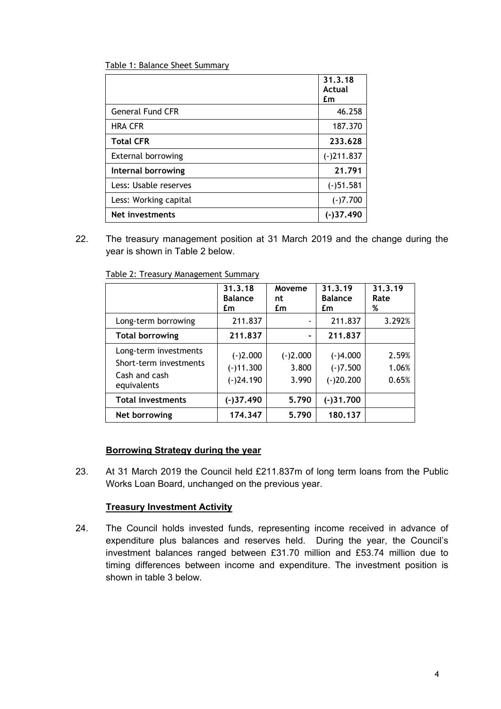| Table 1: Balance Sheet Summary |
|--------------------------------|
|--------------------------------|

|                           | 31.3.18<br>Actual<br>£m |
|---------------------------|-------------------------|
| <b>General Fund CFR</b>   | 46.258                  |
| <b>HRA CFR</b>            | 187.370                 |
| <b>Total CFR</b>          | 233.628                 |
| <b>External borrowing</b> | $(-)211.837$            |
| Internal borrowing        | 21.791                  |
| Less: Usable reserves     | $(-)51.581$             |
| Less: Working capital     | $(-)7.700$              |
| Net investments           | $(-)37.490$             |

22. The treasury management position at 31 March 2019 and the change during the year is shown in Table 2 below.

|                                                                                 | 31.3.18<br><b>Balance</b><br>£m          | Moveme<br>nt<br>£m           | 31.3.19<br><b>Balance</b><br>£m         | 31.3.19<br>Rate<br>%    |
|---------------------------------------------------------------------------------|------------------------------------------|------------------------------|-----------------------------------------|-------------------------|
| Long-term borrowing                                                             | 211.837                                  |                              | 211.837                                 | 3.292%                  |
| <b>Total borrowing</b>                                                          | 211,837                                  | $\blacksquare$               | 211.837                                 |                         |
| Long-term investments<br>Short-term investments<br>Cash and cash<br>equivalents | $(-)2.000$<br>$(-)11.300$<br>$(-)24.190$ | $(-)2.000$<br>3.800<br>3.990 | $(-)4.000$<br>$(-)7.500$<br>$(-)20.200$ | 2.59%<br>1.06%<br>0.65% |
| <b>Total investments</b>                                                        | $(-)37.490$                              | 5.790                        | $(-)31.700$                             |                         |
| Net borrowing                                                                   | 174.347                                  | 5.790                        | 180.137                                 |                         |

Table 2: Treasury Management Summary

## **Borrowing Strategy during the year**

23. At 31 March 2019 the Council held £211.837m of long term loans from the Public Works Loan Board, unchanged on the previous year.

#### **Treasury Investment Activity**

24. The Council holds invested funds, representing income received in advance of expenditure plus balances and reserves held. During the year, the Council's investment balances ranged between £31.70 million and £53.74 million due to timing differences between income and expenditure. The investment position is shown in table 3 below.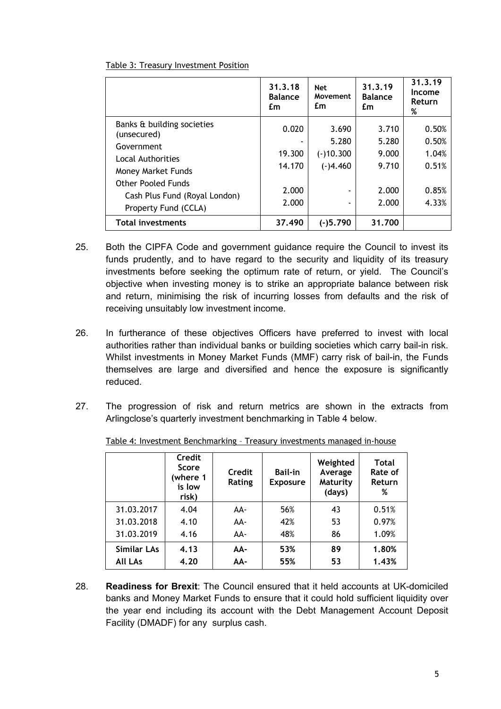| Table 3: Treasury Investment Position |
|---------------------------------------|
|---------------------------------------|

|                                                                                                                                                                                   | 31.3.18<br><b>Balance</b><br>£m             | <b>Net</b><br>Movement<br>£m                                                                        | 31.3.19<br><b>Balance</b><br>£m                    | 31.3.19<br>Income<br>Return<br>%                   |
|-----------------------------------------------------------------------------------------------------------------------------------------------------------------------------------|---------------------------------------------|-----------------------------------------------------------------------------------------------------|----------------------------------------------------|----------------------------------------------------|
| Banks & building societies<br>(unsecured)<br>Government<br>Local Authorities<br>Money Market Funds<br>Other Pooled Funds<br>Cash Plus Fund (Royal London)<br>Property Fund (CCLA) | 0.020<br>19.300<br>14.170<br>2.000<br>2.000 | 3.690<br>5.280<br>$(-)10.300$<br>$(-)4.460$<br>$\overline{\phantom{a}}$<br>$\overline{\phantom{a}}$ | 3.710<br>5.280<br>9.000<br>9.710<br>2.000<br>2.000 | 0.50%<br>0.50%<br>1.04%<br>0.51%<br>0.85%<br>4.33% |
| <b>Total investments</b>                                                                                                                                                          | 37.490                                      | $(-)5.790$                                                                                          | 31.700                                             |                                                    |

- 25. Both the CIPFA Code and government guidance require the Council to invest its funds prudently, and to have regard to the security and liquidity of its treasury investments before seeking the optimum rate of return, or yield. The Council's objective when investing money is to strike an appropriate balance between risk and return, minimising the risk of incurring losses from defaults and the risk of receiving unsuitably low investment income.
- 26. In furtherance of these objectives Officers have preferred to invest with local authorities rather than individual banks or building societies which carry bail-in risk. Whilst investments in Money Market Funds (MMF) carry risk of bail-in, the Funds themselves are large and diversified and hence the exposure is significantly reduced.
- 27. The progression of risk and return metrics are shown in the extracts from Arlingclose's quarterly investment benchmarking in Table 4 below.

|                    | Credit<br><b>Score</b><br>(where 1<br>is low<br>risk) | Credit<br>Rating | <b>Bail-in</b><br><b>Exposure</b> | Weighted<br>Average<br>Maturity<br>(days) | <b>Total</b><br>Rate of<br>Return<br>% |
|--------------------|-------------------------------------------------------|------------------|-----------------------------------|-------------------------------------------|----------------------------------------|
| 31.03.2017         | 4.04                                                  | AA-              | 56%                               | 43                                        | 0.51%                                  |
| 31.03.2018         | 4.10                                                  | AA-              | 42%                               | 53                                        | 0.97%                                  |
| 31.03.2019         | 4.16                                                  | AA-              | 48%                               | 86                                        | 1.09%                                  |
| <b>Similar LAs</b> | 4.13                                                  | AA-              | 53%                               | 89                                        | 1.80%                                  |
| <b>All LAs</b>     | 4.20                                                  | AA-              | 55%                               | 53                                        | 1.43%                                  |

Table 4: Investment Benchmarking – Treasury investments managed in-house

28. **Readiness for Brexit**: The Council ensured that it held accounts at UK-domiciled banks and Money Market Funds to ensure that it could hold sufficient liquidity over the year end including its account with the Debt Management Account Deposit Facility (DMADF) for any surplus cash.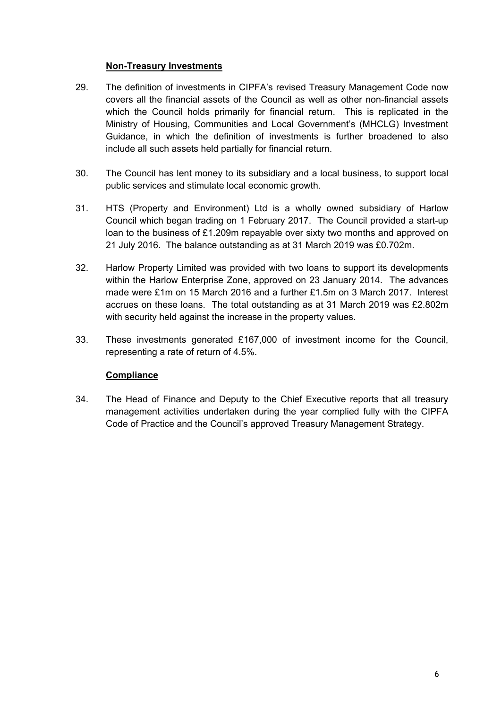### **Non-Treasury Investments**

- 29. The definition of investments in CIPFA's revised Treasury Management Code now covers all the financial assets of the Council as well as other non-financial assets which the Council holds primarily for financial return. This is replicated in the Ministry of Housing, Communities and Local Government's (MHCLG) Investment Guidance, in which the definition of investments is further broadened to also include all such assets held partially for financial return.
- 30. The Council has lent money to its subsidiary and a local business, to support local public services and stimulate local economic growth.
- 31. HTS (Property and Environment) Ltd is a wholly owned subsidiary of Harlow Council which began trading on 1 February 2017. The Council provided a start-up loan to the business of £1.209m repayable over sixty two months and approved on 21 July 2016. The balance outstanding as at 31 March 2019 was £0.702m.
- 32. Harlow Property Limited was provided with two loans to support its developments within the Harlow Enterprise Zone, approved on 23 January 2014. The advances made were £1m on 15 March 2016 and a further £1.5m on 3 March 2017. Interest accrues on these loans. The total outstanding as at 31 March 2019 was £2.802m with security held against the increase in the property values.
- 33. These investments generated £167,000 of investment income for the Council, representing a rate of return of 4.5%.

## **Compliance**

34. The Head of Finance and Deputy to the Chief Executive reports that all treasury management activities undertaken during the year complied fully with the CIPFA Code of Practice and the Council's approved Treasury Management Strategy.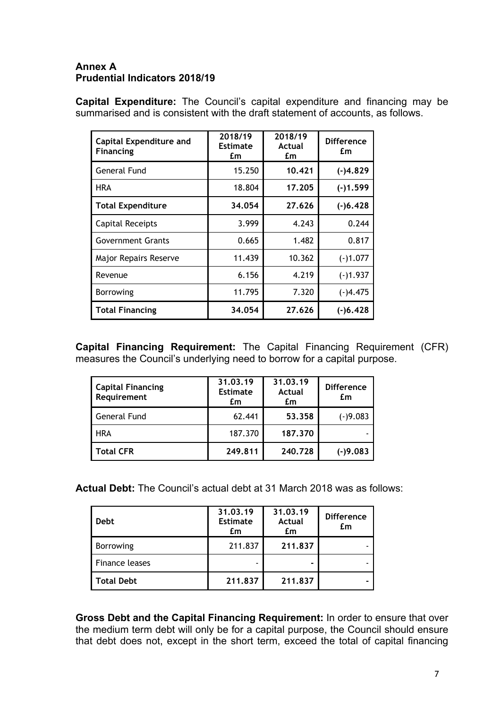## **Annex A Prudential Indicators 2018/19**

**Capital Expenditure:** The Council's capital expenditure and financing may be summarised and is consistent with the draft statement of accounts, as follows.

| <b>Capital Expenditure and</b><br><b>Financing</b> | 2018/19<br><b>Estimate</b><br>£m | 2018/19<br>Actual<br>£m | <b>Difference</b><br>£m |
|----------------------------------------------------|----------------------------------|-------------------------|-------------------------|
| General Fund                                       | 15.250                           | 10.421                  | $(-)4.829$              |
| <b>HRA</b>                                         | 18.804                           | 17.205                  | $(-)1.599$              |
| <b>Total Expenditure</b>                           | 34.054                           | 27.626                  | $(-)6.428$              |
| <b>Capital Receipts</b>                            | 3.999                            | 4.243                   | 0.244                   |
| <b>Government Grants</b>                           | 0.665                            | 1.482                   | 0.817                   |
| Major Repairs Reserve                              | 11.439                           | 10.362                  | $(-)1.077$              |
| Revenue                                            | 6.156                            | 4.219                   | $(-)1.937$              |
| <b>Borrowing</b>                                   | 11.795                           | 7.320                   | $(-)4.475$              |
| <b>Total Financing</b>                             | 34.054                           | 27.626                  | $(-)6.428$              |

**Capital Financing Requirement:** The Capital Financing Requirement (CFR) measures the Council's underlying need to borrow for a capital purpose.

| <b>Capital Financing</b><br>Requirement | 31.03.19<br><b>Estimate</b><br>£m | 31.03.19<br><b>Actual</b><br>£m | <b>Difference</b><br>£m |
|-----------------------------------------|-----------------------------------|---------------------------------|-------------------------|
| <b>General Fund</b>                     | 62.441                            | 53,358                          | $(-)9.083$              |
| <b>HRA</b>                              | 187.370                           | 187.370                         |                         |
| <b>Total CFR</b>                        | 249.811                           | 240.728                         | $(-)9.083$              |

**Actual Debt:** The Council's actual debt at 31 March 2018 was as follows:

| <b>Debt</b>       | 31.03.19<br><b>Estimate</b><br>£m | 31.03.19<br><b>Actual</b><br>£m | <b>Difference</b><br>£m |
|-------------------|-----------------------------------|---------------------------------|-------------------------|
| <b>Borrowing</b>  | 211.837                           | 211.837                         |                         |
| Finance leases    |                                   | ۰                               |                         |
| <b>Total Debt</b> | 211.837                           | 211.837                         |                         |

**Gross Debt and the Capital Financing Requirement:** In order to ensure that over the medium term debt will only be for a capital purpose, the Council should ensure that debt does not, except in the short term, exceed the total of capital financing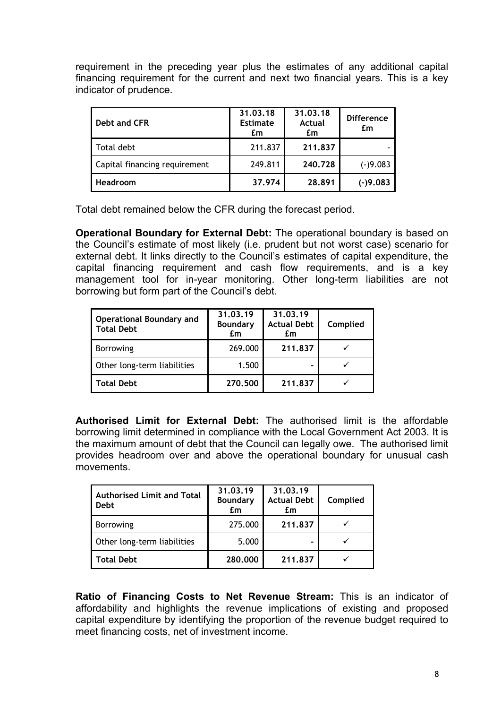requirement in the preceding year plus the estimates of any additional capital financing requirement for the current and next two financial years. This is a key indicator of prudence.

| Debt and CFR                  | 31.03.18<br><b>Estimate</b><br>£m | 31.03.18<br>Actual<br>£m | <b>Difference</b><br>£m |
|-------------------------------|-----------------------------------|--------------------------|-------------------------|
| Total debt                    | 211.837                           | 211.837                  |                         |
| Capital financing requirement | 249.811                           | 240.728                  | $(-)9.083$              |
| <b>Headroom</b>               | 37.974                            | 28,891                   | $(-)9.083$              |

Total debt remained below the CFR during the forecast period.

**Operational Boundary for External Debt:** The operational boundary is based on the Council's estimate of most likely (i.e. prudent but not worst case) scenario for external debt. It links directly to the Council's estimates of capital expenditure, the capital financing requirement and cash flow requirements, and is a key management tool for in-year monitoring. Other long-term liabilities are not borrowing but form part of the Council's debt.

| <b>Operational Boundary and</b><br><b>Total Debt</b> | 31.03.19<br><b>Boundary</b><br>£m | 31.03.19<br><b>Actual Debt</b><br>£m | Complied |
|------------------------------------------------------|-----------------------------------|--------------------------------------|----------|
| <b>Borrowing</b>                                     | 269.000                           | 211.837                              |          |
| Other long-term liabilities                          | 1.500                             |                                      |          |
| <b>Total Debt</b>                                    | 270.500                           | 211.837                              |          |

**Authorised Limit for External Debt:** The authorised limit is the affordable borrowing limit determined in compliance with the Local Government Act 2003. It is the maximum amount of debt that the Council can legally owe. The authorised limit provides headroom over and above the operational boundary for unusual cash movements.

| <b>Authorised Limit and Total</b><br><b>Debt</b> | 31.03.19<br><b>Boundary</b><br>£m | 31.03.19<br><b>Actual Debt</b><br>£m | Complied |
|--------------------------------------------------|-----------------------------------|--------------------------------------|----------|
| <b>Borrowing</b>                                 | 275.000                           | 211.837                              |          |
| Other long-term liabilities                      | 5.000                             |                                      |          |
| <b>Total Debt</b>                                | 280,000                           | 211.837                              |          |

**Ratio of Financing Costs to Net Revenue Stream:** This is an indicator of affordability and highlights the revenue implications of existing and proposed capital expenditure by identifying the proportion of the revenue budget required to meet financing costs, net of investment income.